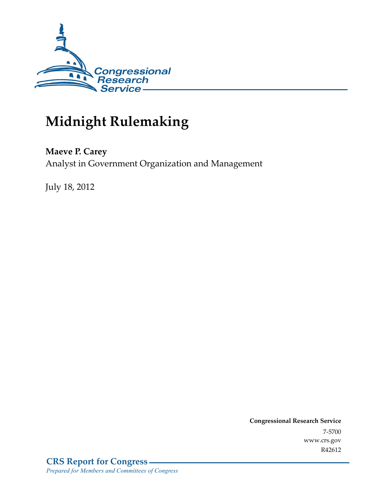

# **Midnight Rulemaking**

## **Maeve P. Carey**

Analyst in Government Organization and Management

July 18, 2012

**Congressional Research Service**  7-5700 www.crs.gov R42612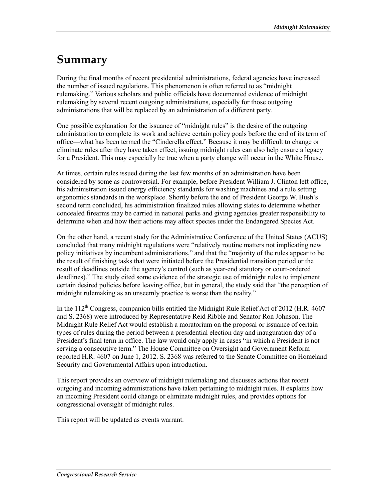## **Summary**

During the final months of recent presidential administrations, federal agencies have increased the number of issued regulations. This phenomenon is often referred to as "midnight rulemaking." Various scholars and public officials have documented evidence of midnight rulemaking by several recent outgoing administrations, especially for those outgoing administrations that will be replaced by an administration of a different party.

One possible explanation for the issuance of "midnight rules" is the desire of the outgoing administration to complete its work and achieve certain policy goals before the end of its term of office—what has been termed the "Cinderella effect." Because it may be difficult to change or eliminate rules after they have taken effect, issuing midnight rules can also help ensure a legacy for a President. This may especially be true when a party change will occur in the White House.

At times, certain rules issued during the last few months of an administration have been considered by some as controversial. For example, before President William J. Clinton left office, his administration issued energy efficiency standards for washing machines and a rule setting ergonomics standards in the workplace. Shortly before the end of President George W. Bush's second term concluded, his administration finalized rules allowing states to determine whether concealed firearms may be carried in national parks and giving agencies greater responsibility to determine when and how their actions may affect species under the Endangered Species Act.

On the other hand, a recent study for the Administrative Conference of the United States (ACUS) concluded that many midnight regulations were "relatively routine matters not implicating new policy initiatives by incumbent administrations," and that the "majority of the rules appear to be the result of finishing tasks that were initiated before the Presidential transition period or the result of deadlines outside the agency's control (such as year-end statutory or court-ordered deadlines)." The study cited some evidence of the strategic use of midnight rules to implement certain desired policies before leaving office, but in general, the study said that "the perception of midnight rulemaking as an unseemly practice is worse than the reality."

In the  $112<sup>th</sup>$  Congress, companion bills entitled the Midnight Rule Relief Act of 2012 (H.R. 4607) and S. 2368) were introduced by Representative Reid Ribble and Senator Ron Johnson. The Midnight Rule Relief Act would establish a moratorium on the proposal or issuance of certain types of rules during the period between a presidential election day and inauguration day of a President's final term in office. The law would only apply in cases "in which a President is not serving a consecutive term." The House Committee on Oversight and Government Reform reported H.R. 4607 on June 1, 2012. S. 2368 was referred to the Senate Committee on Homeland Security and Governmental Affairs upon introduction.

This report provides an overview of midnight rulemaking and discusses actions that recent outgoing and incoming administrations have taken pertaining to midnight rules. It explains how an incoming President could change or eliminate midnight rules, and provides options for congressional oversight of midnight rules.

This report will be updated as events warrant.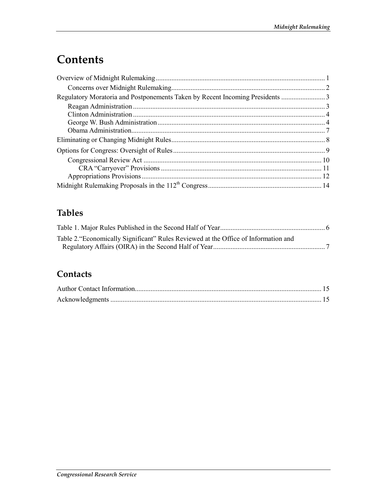## **Contents**

## **Tables**

| Table 2. "Economically Significant" Rules Reviewed at the Office of Information and |  |
|-------------------------------------------------------------------------------------|--|
|                                                                                     |  |

## **Contacts**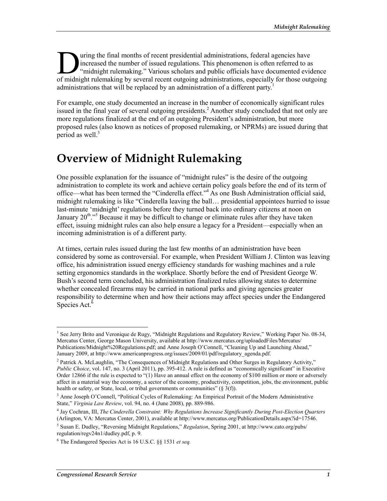uring the final months of recent presidential administrations, federal agencies have increased the number of issued regulations. This phenomenon is often referred to as "midnight rulemaking." Various scholars and public officials have documented evidence I uring the final months of recent presidential administrations, federal agencies have increased the number of issued regulations. This phenomenon is often referred to as "midnight rulemaking." Various scholars and public administrations that will be replaced by an administration of a different party.<sup>1</sup>

For example, one study documented an increase in the number of economically significant rules issued in the final year of several outgoing presidents.<sup>2</sup> Another study concluded that not only are more regulations finalized at the end of an outgoing President's administration, but more proposed rules (also known as notices of proposed rulemaking, or NPRMs) are issued during that period as well. $3$ 

## **Overview of Midnight Rulemaking**

One possible explanation for the issuance of "midnight rules" is the desire of the outgoing administration to complete its work and achieve certain policy goals before the end of its term of office—what has been termed the "Cinderella effect."<sup>4</sup> As one Bush Administration official said, midnight rulemaking is like "Cinderella leaving the ball… presidential appointees hurried to issue last-minute 'midnight' regulations before they turned back into ordinary citizens at noon on January  $20^{\text{th}}$ ."<sup>5</sup> Because it may be difficult to change or eliminate rules after they have taken effect, issuing midnight rules can also help ensure a legacy for a President—especially when an incoming administration is of a different party.

At times, certain rules issued during the last few months of an administration have been considered by some as controversial. For example, when President William J. Clinton was leaving office, his administration issued energy efficiency standards for washing machines and a rule setting ergonomics standards in the workplace. Shortly before the end of President George W. Bush's second term concluded, his administration finalized rules allowing states to determine whether concealed firearms may be carried in national parks and giving agencies greater responsibility to determine when and how their actions may affect species under the Endangered Species Act. $6$ 

<sup>&</sup>lt;sup>1</sup> See Jerry Brito and Veronique de Rugy, "Midnight Regulations and Regulatory Review," Working Paper No. 08-34, Mercatus Center, George Mason University, available at http://www.mercatus.org/uploadedFiles/Mercatus/ Publications/Midnight%20Regulations.pdf; and Anne Joseph O'Connell, "Cleaning Up and Launching Ahead," January 2009, at http://www.americanprogress.org/issues/2009/01/pdf/regulatory\_agenda.pdf.

<sup>&</sup>lt;sup>2</sup> Patrick A. McLaughlin, "The Consequences of Midnight Regulations and Other Surges in Regulatory Activity," *Public Choice*, vol. 147, no. 3 (April 2011), pp. 395-412. A rule is defined as "economically significant" in Executive Order 12866 if the rule is expected to "(1) Have an annual effect on the economy of \$100 million or more or adversely affect in a material way the economy, a sector of the economy, productivity, competition, jobs, the environment, public health or safety, or State, local, or tribal governments or communities"  $(\S 3(f))$ .

<sup>&</sup>lt;sup>3</sup> Anne Joseph O'Connell, "Political Cycles of Rulemaking: An Empirical Portrait of the Modern Administrative State," *Virginia Law Review*, vol. 94, no. 4 (June 2008), pp. 889-986.

<sup>4</sup> Jay Cochran, III, *The Cinderella Constraint: Why Regulations Increase Significantly During Post-Election Quarters* (Arlington, VA: Mercatus Center, 2001), available at http://www.mercatus.org/PublicationDetails.aspx?id=17546.

<sup>5</sup> Susan E. Dudley, "Reversing Midnight Regulations," *Regulation*, Spring 2001, at http://www.cato.org/pubs/ regulation/regv24n1/dudley.pdf, p. 9.

<sup>6</sup> The Endangered Species Act is 16 U.S.C. §§ 1531 *et seq.*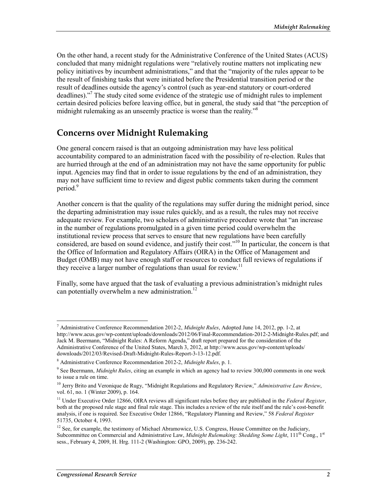On the other hand, a recent study for the Administrative Conference of the United States (ACUS) concluded that many midnight regulations were "relatively routine matters not implicating new policy initiatives by incumbent administrations," and that the "majority of the rules appear to be the result of finishing tasks that were initiated before the Presidential transition period or the result of deadlines outside the agency's control (such as year-end statutory or court-ordered deadlines)."7 The study cited some evidence of the strategic use of midnight rules to implement certain desired policies before leaving office, but in general, the study said that "the perception of midnight rulemaking as an unseemly practice is worse than the reality."8

### **Concerns over Midnight Rulemaking**

One general concern raised is that an outgoing administration may have less political accountability compared to an administration faced with the possibility of re-election. Rules that are hurried through at the end of an administration may not have the same opportunity for public input. Agencies may find that in order to issue regulations by the end of an administration, they may not have sufficient time to review and digest public comments taken during the comment period.<sup>9</sup>

Another concern is that the quality of the regulations may suffer during the midnight period, since the departing administration may issue rules quickly, and as a result, the rules may not receive adequate review. For example, two scholars of administrative procedure wrote that "an increase in the number of regulations promulgated in a given time period could overwhelm the institutional review process that serves to ensure that new regulations have been carefully considered, are based on sound evidence, and justify their cost."10 In particular, the concern is that the Office of Information and Regulatory Affairs (OIRA) in the Office of Management and Budget (OMB) may not have enough staff or resources to conduct full reviews of regulations if they receive a larger number of regulations than usual for review.<sup>11</sup>

Finally, some have argued that the task of evaluating a previous administration's midnight rules can potentially overwhelm a new administration.<sup>12</sup>

<sup>7</sup> Administrative Conference Recommendation 2012-2, *Midnight Rules*, Adopted June 14, 2012, pp. 1-2, at http://www.acus.gov/wp-content/uploads/downloads/2012/06/Final-Recommendation-2012-2-Midnight-Rules.pdf; and Jack M. Beermann, "Midnight Rules: A Reform Agenda," draft report prepared for the consideration of the Administrative Conference of the United States, March 3, 2012, at http://www.acus.gov/wp-content/uploads/ downloads/2012/03/Revised-Draft-Midnight-Rules-Report-3-13-12.pdf.

<sup>8</sup> Administrative Conference Recommendation 2012-2, *Midnight Rules*, p. 1.

<sup>9</sup> See Beermann, *Midnight Rules*, citing an example in which an agency had to review 300,000 comments in one week to issue a rule on time.

<sup>&</sup>lt;sup>10</sup> Jerry Brito and Veronique de Rugy, "Midnight Regulations and Regulatory Review," Administrative Law Review, vol. 61, no. 1 (Winter 2009), p. 164.

<sup>&</sup>lt;sup>11</sup> Under Executive Order 12866, OIRA reviews all significant rules before they are published in the *Federal Register*, both at the proposed rule stage and final rule stage. This includes a review of the rule itself and the rule's cost-benefit analysis, if one is required. See Executive Order 12866, "Regulatory Planning and Review," 58 *Federal Register* 51735, October 4, 1993.

<sup>&</sup>lt;sup>12</sup> See, for example, the testimony of Michael Abramowicz, U.S. Congress, House Committee on the Judiciary, Subcommittee on Commercial and Administrative Law, *Midnight Rulemaking: Shedding Some Light*, 111<sup>th</sup> Cong., 1<sup>st</sup> sess., February 4, 2009, H. Hrg. 111-2 (Washington: GPO, 2009), pp. 236-242.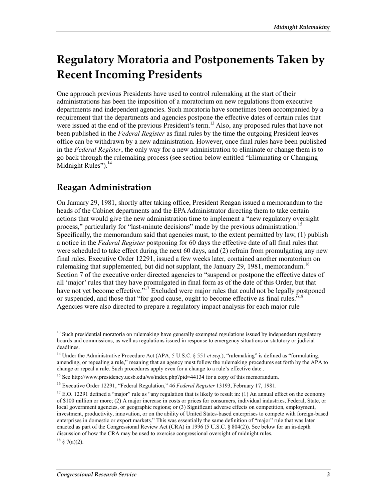## **Regulatory Moratoria and Postponements Taken by Recent Incoming Presidents**

One approach previous Presidents have used to control rulemaking at the start of their administrations has been the imposition of a moratorium on new regulations from executive departments and independent agencies. Such moratoria have sometimes been accompanied by a requirement that the departments and agencies postpone the effective dates of certain rules that were issued at the end of the previous President's term.<sup>13</sup> Also, any proposed rules that have not been published in the *Federal Register* as final rules by the time the outgoing President leaves office can be withdrawn by a new administration. However, once final rules have been published in the *Federal Register*, the only way for a new administration to eliminate or change them is to go back through the rulemaking process (see section below entitled "Eliminating or Changing Midnight Rules").<sup>14</sup>

## **Reagan Administration**

On January 29, 1981, shortly after taking office, President Reagan issued a memorandum to the heads of the Cabinet departments and the EPA Administrator directing them to take certain actions that would give the new administration time to implement a "new regulatory oversight process," particularly for "last-minute decisions" made by the previous administration.<sup>15</sup> Specifically, the memorandum said that agencies must, to the extent permitted by law, (1) publish a notice in the *Federal Register* postponing for 60 days the effective date of all final rules that were scheduled to take effect during the next 60 days, and (2) refrain from promulgating any new final rules. Executive Order 12291, issued a few weeks later, contained another moratorium on rulemaking that supplemented, but did not supplant, the January 29, 1981, memorandum.<sup>16</sup> Section 7 of the executive order directed agencies to "suspend or postpone the effective dates of all 'major' rules that they have promulgated in final form as of the date of this Order, but that have not yet become effective."<sup>17</sup> Excluded were major rules that could not be legally postponed or suspended, and those that "for good cause, ought to become effective as final rules."<sup>18</sup> Agencies were also directed to prepare a regulatory impact analysis for each major rule

 $18 \text{ } 8 \text{ } 7(a)(2)$ .

<sup>&</sup>lt;sup>13</sup> Such presidential moratoria on rulemaking have generally exempted regulations issued by independent regulatory boards and commissions, as well as regulations issued in response to emergency situations or statutory or judicial deadlines.

<sup>&</sup>lt;sup>14</sup> Under the Administrative Procedure Act (APA, 5 U.S.C. § 551 *et seq.*), "rulemaking" is defined as "formulating, amending, or repealing a rule," meaning that an agency must follow the rulemaking procedures set forth by the APA to change or repeal a rule. Such procedures apply even for a change to a rule's effective date .

<sup>&</sup>lt;sup>15</sup> See http://www.presidency.ucsb.edu/ws/index.php?pid=44134 for a copy of this memorandum.

<sup>16</sup> Executive Order 12291, "Federal Regulation," 46 *Federal Register* 13193, February 17, 1981.

 $17$  E.O. 12291 defined a "major" rule as "any regulation that is likely to result in: (1) An annual effect on the economy of \$100 million or more; (2) A major increase in costs or prices for consumers, individual industries, Federal, State, or local government agencies, or geographic regions; or (3) Significant adverse effects on competition, employment, investment, productivity, innovation, or on the ability of United States-based enterprises to compete with foreign-based enterprises in domestic or export markets." This was essentially the same definition of "major" rule that was later enacted as part of the Congressional Review Act (CRA) in 1996 (5 U.S.C. § 804(2)). See below for an in-depth discussion of how the CRA may be used to exercise congressional oversight of midnight rules.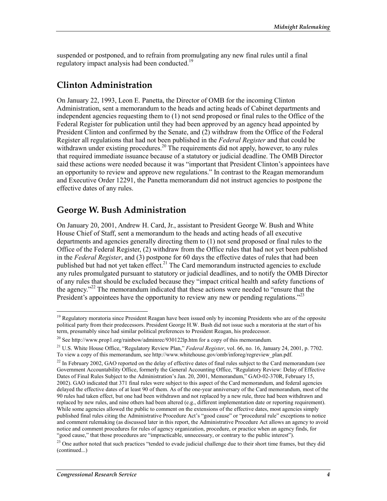suspended or postponed, and to refrain from promulgating any new final rules until a final regulatory impact analysis had been conducted.<sup>19</sup>

### **Clinton Administration**

On January 22, 1993, Leon E. Panetta, the Director of OMB for the incoming Clinton Administration, sent a memorandum to the heads and acting heads of Cabinet departments and independent agencies requesting them to (1) not send proposed or final rules to the Office of the Federal Register for publication until they had been approved by an agency head appointed by President Clinton and confirmed by the Senate, and (2) withdraw from the Office of the Federal Register all regulations that had not been published in the *Federal Register* and that could be withdrawn under existing procedures.<sup>20</sup> The requirements did not apply, however, to any rules that required immediate issuance because of a statutory or judicial deadline. The OMB Director said these actions were needed because it was "important that President Clinton's appointees have an opportunity to review and approve new regulations." In contrast to the Reagan memorandum and Executive Order 12291, the Panetta memorandum did not instruct agencies to postpone the effective dates of any rules.

### **George W. Bush Administration**

On January 20, 2001, Andrew H. Card, Jr., assistant to President George W. Bush and White House Chief of Staff, sent a memorandum to the heads and acting heads of all executive departments and agencies generally directing them to (1) not send proposed or final rules to the Office of the Federal Register, (2) withdraw from the Office rules that had not yet been published in the *Federal Register*, and (3) postpone for 60 days the effective dates of rules that had been published but had not yet taken effect.<sup>21</sup> The Card memorandum instructed agencies to exclude any rules promulgated pursuant to statutory or judicial deadlines, and to notify the OMB Director of any rules that should be excluded because they "impact critical health and safety functions of the agency."<sup>22</sup> The memorandum indicated that these actions were needed to "ensure that the President's appointees have the opportunity to review any new or pending regulations."<sup>23</sup>

 $19$  Regulatory moratoria since President Reagan have been issued only by incoming Presidents who are of the opposite political party from their predecessors. President George H.W. Bush did not issue such a moratoria at the start of his term, presumably since had similar political preferences to President Reagan, his predecessor.

<sup>&</sup>lt;sup>20</sup> See http://www.prop1.org/rainbow/adminrec/930122lp.htm for a copy of this memorandum.

<sup>21</sup> U.S. White House Office, "Regulatory Review Plan," *Federal Register*, vol. 66, no. 16, January 24, 2001, p. 7702. To view a copy of this memorandum, see http://www.whitehouse.gov/omb/inforeg/regreview\_plan.pdf.

<sup>&</sup>lt;sup>22</sup> In February 2002, GAO reported on the delay of effective dates of final rules subject to the Card memorandum (see Government Accountability Office, formerly the General Accounting Office, "Regulatory Review: Delay of Effective Dates of Final Rules Subject to the Administration's Jan. 20, 2001, Memorandum," GAO-02-370R, February 15, 2002). GAO indicated that 371 final rules were subject to this aspect of the Card memorandum, and federal agencies delayed the effective dates of at least 90 of them. As of the one-year anniversary of the Card memorandum, most of the 90 rules had taken effect, but one had been withdrawn and not replaced by a new rule, three had been withdrawn and replaced by new rules, and nine others had been altered (e.g., different implementation date or reporting requirement). While some agencies allowed the public to comment on the extensions of the effective dates, most agencies simply published final rules citing the Administrative Procedure Act's "good cause" or "procedural rule" exceptions to notice and comment rulemaking (as discussed later in this report, the Administrative Procedure Act allows an agency to avoid notice and comment procedures for rules of agency organization, procedure, or practice when an agency finds, for "good cause," that those procedures are "impracticable, unnecessary, or contrary to the public interest").

 $^{23}$  One author noted that such practices "tended to evade judicial challenge due to their short time frames, but they did (continued...)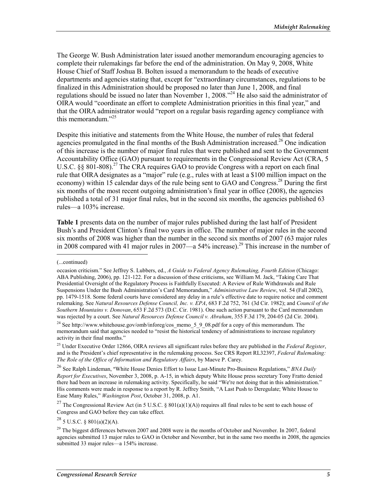The George W. Bush Administration later issued another memorandum encouraging agencies to complete their rulemakings far before the end of the administration. On May 9, 2008, White House Chief of Staff Joshua B. Bolten issued a memorandum to the heads of executive departments and agencies stating that, except for "extraordinary circumstances, regulations to be finalized in this Administration should be proposed no later than June 1, 2008, and final regulations should be issued no later than November 1, 2008.<sup> $24$ </sup> He also said the administrator of OIRA would "coordinate an effort to complete Administration priorities in this final year," and that the OIRA administrator would "report on a regular basis regarding agency compliance with this memorandum."<sup>25</sup>

Despite this initiative and statements from the White House, the number of rules that federal agencies promulgated in the final months of the Bush Administration increased.<sup>26</sup> One indication of this increase is the number of major final rules that were published and sent to the Government Accountability Office (GAO) pursuant to requirements in the Congressional Review Act (CRA, 5 U.S.C.  $\S$ § 801-808).<sup>27</sup> The CRA requires GAO to provide Congress with a report on each final rule that OIRA designates as a "major" rule (e.g., rules with at least a \$100 million impact on the economy) within 15 calendar days of the rule being sent to GAO and Congress.<sup>28</sup> During the first six months of the most recent outgoing administration's final year in office (2008), the agencies published a total of 31 major final rules, but in the second six months, the agencies published 63 rules—a 103% increase.

**Table 1** presents data on the number of major rules published during the last half of President Bush's and President Clinton's final two years in office. The number of major rules in the second six months of 2008 was higher than the number in the second six months of 2007 (63 major rules in 2008 compared with 41 major rules in 2007—a 54% increase).<sup>29</sup> This increase in the number of

<sup>27</sup> The Congressional Review Act (in 5 U.S.C. § 801(a)(1)(A)) requires all final rules to be sent to each house of Congress and GAO before they can take effect.

<sup>(...</sup>continued)

occasion criticism." See Jeffrey S. Lubbers, ed., *A Guide to Federal Agency Rulemaking, Fourth Edition* (Chicago: ABA Publishing, 2006), pp. 121-122. For a discussion of these criticisms, see William M. Jack, "Taking Care That Presidential Oversight of the Regulatory Process is Faithfully Executed: A Review of Rule Withdrawals and Rule Suspensions Under the Bush Administration's Card Memorandum," *Administrative Law Review*, vol. 54 (Fall 2002), pp. 1479-1518. Some federal courts have considered any delay in a rule's effective date to require notice and comment rulemaking. See *Natural Resources Defense Council, Inc. v. EPA*, 683 F.2d 752, 761 (3d Cir. 1982); and *Council of the Southern Mountains v. Donovan*, 653 F.2d 573 (D.C. Cir. 1981). One such action pursuant to the Card memorandum was rejected by a court. See *Natural Resources Defense Council v. Abraham*, 355 F.3d 179, 204-05 (2d Cir. 2004).

<sup>&</sup>lt;sup>24</sup> See http://www.whitehouse.gov/omb/inforeg/cos\_memo\_5\_9\_08.pdf for a copy of this memorandum. The memorandum said that agencies needed to "resist the historical tendency of administrations to increase regulatory activity in their final months."

<sup>25</sup> Under Executive Order 12866, OIRA reviews all significant rules before they are published in the *Federal Register*, and is the President's chief representative in the rulemaking process. See CRS Report RL32397, *Federal Rulemaking: The Role of the Office of Information and Regulatory Affairs*, by Maeve P. Carey.

<sup>&</sup>lt;sup>26</sup> See Ralph Lindeman, "White House Denies Effort to Issue Last-Minute Pro-Business Regulations," *BNA Daily Report for Executives*, November 3, 2008, p. A-15, in which deputy White House press secretary Tony Fratto denied there had been an increase in rulemaking activity. Specifically, he said "We're not doing that in this administration." His comments were made in response to a report by R. Jeffrey Smith, "A Last Push to Deregulate; White House to Ease Many Rules," *Washington Post*, October 31, 2008, p. A1.

 $28$  5 U.S.C. § 801(a)(2)(A).

<sup>&</sup>lt;sup>29</sup> The biggest differences between 2007 and 2008 were in the months of October and November. In 2007, federal agencies submitted 13 major rules to GAO in October and November, but in the same two months in 2008, the agencies submitted 33 major rules—a 154% increase.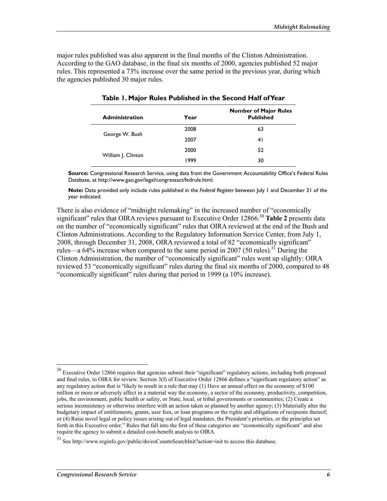major rules published was also apparent in the final months of the Clinton Administration. According to the GAO database, in the final six months of 2000, agencies published 52 major rules. This represented a 73% increase over the same period in the previous year, during which the agencies published 30 major rules.

| <b>Administration</b> | Year | <b>Number of Major Rules</b><br><b>Published</b> |
|-----------------------|------|--------------------------------------------------|
|                       | 2008 | 63                                               |
| George W. Bush        | 2007 | 41                                               |
|                       | 2000 | 52                                               |
| William J. Clinton    | 1999 | 30                                               |

|  |  |  |  |  |  | Table 1. Major Rules Published in the Second Half ofYear |
|--|--|--|--|--|--|----------------------------------------------------------|
|--|--|--|--|--|--|----------------------------------------------------------|

**Source:** Congressional Research Service, using data from the Government Accountability Office's Federal Rules Database, at http://www.gao.gov/legal/congressact/fedrule.html.

**Note:** Data provided only include rules published in the *Federal Register* between July 1 and December 31 of the year indicated.

There is also evidence of "midnight rulemaking" in the increased number of "economically significant" rules that OIRA reviews pursuant to Executive Order 12866.<sup>30</sup> Table 2 presents data on the number of "economically significant" rules that OIRA reviewed at the end of the Bush and Clinton Administrations. According to the Regulatory Information Service Center, from July 1, 2008, through December 31, 2008, OIRA reviewed a total of 82 "economically significant" rules—a  $64\%$  increase when compared to the same period in 2007 (50 rules).<sup>31</sup> During the Clinton Administration, the number of "economically significant" rules went up slightly: OIRA reviewed 53 "economically significant" rules during the final six months of 2000, compared to 48 "economically significant" rules during that period in 1999 (a 10% increase).

 $30$  Executive Order 12866 requires that agencies submit their "significant" regulatory actions, including both proposed and final rules, to OIRA for review. Section 3(f) of Executive Order 12866 defines a "significant regulatory action" as any regulatory action that is "likely to result in a rule that may  $(1)$  Have an annual effect on the economy of \$100 million or more or adversely affect in a material way the economy, a sector of the economy, productivity, competition, jobs, the environment, public health or safety, or State, local, or tribal governments or communities; (2) Create a serious inconsistency or otherwise interfere with an action taken or planned by another agency; (3) Materially alter the budgetary impact of entitlements, grants, user fees, or loan programs or the rights and obligations of recipients thereof; or (4) Raise novel legal or policy issues arising out of legal mandates, the President's priorities, or the principles set forth in this Executive order." Rules that fall into the first of these categories are "economically significant" and also require the agency to submit a detailed cost-benefit analysis to OIRA.

<sup>31</sup> See http://www.reginfo.gov/public/do/eoCountsSearchInit?action=init to access this database.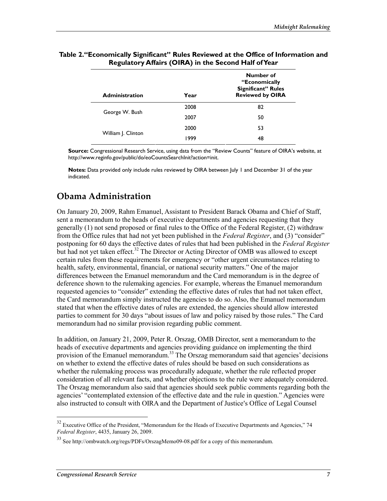| <b>Administration</b> | Year | Number of<br>"Economically<br><b>Significant" Rules</b><br><b>Reviewed by OIRA</b> |
|-----------------------|------|------------------------------------------------------------------------------------|
|                       | 2008 | 82                                                                                 |
| George W. Bush        | 2007 | 50                                                                                 |
|                       | 2000 | 53                                                                                 |
| William J. Clinton    | 1999 | 48                                                                                 |

#### **Table 2."Economically Significant" Rules Reviewed at the Office of Information and Regulatory Affairs (OIRA) in the Second Half of Year**

**Source:** Congressional Research Service, using data from the "Review Counts" feature of OIRA's website, at http://www.reginfo.gov/public/do/eoCountsSearchInit?action=init.

**Notes:** Data provided only include rules reviewed by OIRA between July 1 and December 31 of the year indicated.

## **Obama Administration**

On January 20, 2009, Rahm Emanuel, Assistant to President Barack Obama and Chief of Staff, sent a memorandum to the heads of executive departments and agencies requesting that they generally (1) not send proposed or final rules to the Office of the Federal Register, (2) withdraw from the Office rules that had not yet been published in the *Federal Register*, and (3) "consider" postponing for 60 days the effective dates of rules that had been published in the *Federal Register* but had not yet taken effect.<sup>32</sup> The Director or Acting Director of OMB was allowed to except certain rules from these requirements for emergency or "other urgent circumstances relating to health, safety, environmental, financial, or national security matters." One of the major differences between the Emanuel memorandum and the Card memorandum is in the degree of deference shown to the rulemaking agencies. For example, whereas the Emanuel memorandum requested agencies to "consider" extending the effective dates of rules that had not taken effect, the Card memorandum simply instructed the agencies to do so. Also, the Emanuel memorandum stated that when the effective dates of rules are extended, the agencies should allow interested parties to comment for 30 days "about issues of law and policy raised by those rules." The Card memorandum had no similar provision regarding public comment.

In addition, on January 21, 2009, Peter R. Orszag, OMB Director, sent a memorandum to the heads of executive departments and agencies providing guidance on implementing the third provision of the Emanuel memorandum.<sup>33</sup> The Orszag memorandum said that agencies' decisions on whether to extend the effective dates of rules should be based on such considerations as whether the rulemaking process was procedurally adequate, whether the rule reflected proper consideration of all relevant facts, and whether objections to the rule were adequately considered. The Orszag memorandum also said that agencies should seek public comments regarding both the agencies' "contemplated extension of the effective date and the rule in question." Agencies were also instructed to consult with OIRA and the Department of Justice's Office of Legal Counsel

 $32$  Executive Office of the President, "Memorandum for the Heads of Executive Departments and Agencies," 74 *Federal Register*, 4435, January 26, 2009.

<sup>33</sup> See http://ombwatch.org/regs/PDFs/OrszagMemo09-08.pdf for a copy of this memorandum.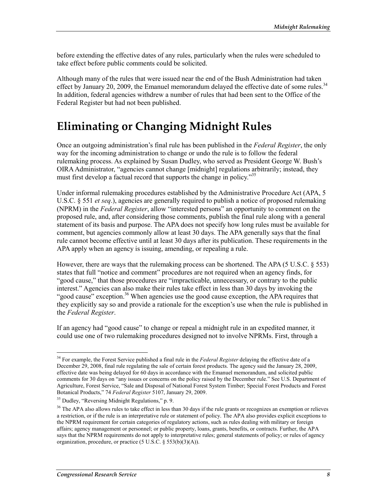before extending the effective dates of any rules, particularly when the rules were scheduled to take effect before public comments could be solicited.

Although many of the rules that were issued near the end of the Bush Administration had taken effect by January 20, 2009, the Emanuel memorandum delayed the effective date of some rules.<sup>34</sup> In addition, federal agencies withdrew a number of rules that had been sent to the Office of the Federal Register but had not been published.

## **Eliminating or Changing Midnight Rules**

Once an outgoing administration's final rule has been published in the *Federal Register*, the only way for the incoming administration to change or undo the rule is to follow the federal rulemaking process. As explained by Susan Dudley, who served as President George W. Bush's OIRA Administrator, "agencies cannot change [midnight] regulations arbitrarily; instead, they must first develop a factual record that supports the change in policy.<sup>35</sup>

Under informal rulemaking procedures established by the Administrative Procedure Act (APA, 5 U.S.C. § 551 *et seq*.), agencies are generally required to publish a notice of proposed rulemaking (NPRM) in the *Federal Register*, allow "interested persons" an opportunity to comment on the proposed rule, and, after considering those comments, publish the final rule along with a general statement of its basis and purpose. The APA does not specify how long rules must be available for comment, but agencies commonly allow at least 30 days. The APA generally says that the final rule cannot become effective until at least 30 days after its publication. These requirements in the APA apply when an agency is issuing, amending, or repealing a rule.

However, there are ways that the rulemaking process can be shortened. The APA (5 U.S.C. § 553) states that full "notice and comment" procedures are not required when an agency finds, for "good cause," that those procedures are "impracticable, unnecessary, or contrary to the public interest." Agencies can also make their rules take effect in less than 30 days by invoking the "good cause" exception.<sup>36</sup> When agencies use the good cause exception, the APA requires that they explicitly say so and provide a rationale for the exception's use when the rule is published in the *Federal Register*.

If an agency had "good cause" to change or repeal a midnight rule in an expedited manner, it could use one of two rulemaking procedures designed not to involve NPRMs. First, through a

<sup>34</sup> For example, the Forest Service published a final rule in the *Federal Register* delaying the effective date of a December 29, 2008, final rule regulating the sale of certain forest products. The agency said the January 28, 2009, effective date was being delayed for 60 days in accordance with the Emanuel memorandum, and solicited public comments for 30 days on "any issues or concerns on the policy raised by the December rule." See U.S. Department of Agriculture, Forest Service, "Sale and Disposal of National Forest System Timber; Special Forest Products and Forest Botanical Products," 74 *Federal Register* 5107, January 29, 2009.

<sup>&</sup>lt;sup>35</sup> Dudley, "Reversing Midnight Regulations," p. 9.

<sup>&</sup>lt;sup>36</sup> The APA also allows rules to take effect in less than 30 days if the rule grants or recognizes an exemption or relieves a restriction, or if the rule is an interpretative rule or statement of policy. The APA also provides explicit exceptions to the NPRM requirement for certain categories of regulatory actions, such as rules dealing with military or foreign affairs; agency management or personnel; or public property, loans, grants, benefits, or contracts. Further, the APA says that the NPRM requirements do not apply to interpretative rules; general statements of policy; or rules of agency organization, procedure, or practice (5 U.S.C. § 553(b)(3)(A)).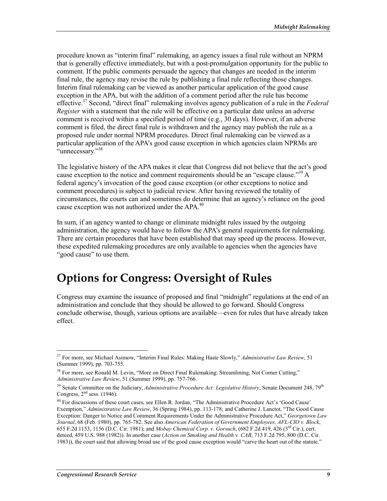procedure known as "interim final" rulemaking, an agency issues a final rule without an NPRM that is generally effective immediately, but with a post-promulgation opportunity for the public to comment. If the public comments persuade the agency that changes are needed in the interim final rule, the agency may revise the rule by publishing a final rule reflecting those changes. Interim final rulemaking can be viewed as another particular application of the good cause exception in the APA, but with the addition of a comment period after the rule has become effective.37 Second, "direct final" rulemaking involves agency publication of a rule in the *Federal Register* with a statement that the rule will be effective on a particular date unless an adverse comment is received within a specified period of time (e.g., 30 days). However, if an adverse comment is filed, the direct final rule is withdrawn and the agency may publish the rule as a proposed rule under normal NPRM procedures. Direct final rulemaking can be viewed as a particular application of the APA's good cause exception in which agencies claim NPRMs are "unnecessary."<sup>38</sup>

The legislative history of the APA makes it clear that Congress did not believe that the act's good cause exception to the notice and comment requirements should be an "escape clause."<sup>39</sup> A federal agency's invocation of the good cause exception (or other exceptions to notice and comment procedures) is subject to judicial review. After having reviewed the totality of circumstances, the courts can and sometimes do determine that an agency's reliance on the good cause exception was not authorized under the  $APA<sub>10</sub><sup>40</sup>$ 

In sum, if an agency wanted to change or eliminate midnight rules issued by the outgoing administration, the agency would have to follow the APA's general requirements for rulemaking. There are certain procedures that have been established that may speed up the process. However, these expedited rulemaking procedures are only available to agencies when the agencies have "good cause" to use them.

## **Options for Congress: Oversight of Rules**

Congress may examine the issuance of proposed and final "midnight" regulations at the end of an administration and conclude that they should be allowed to go forward. Should Congress conclude otherwise, though, various options are available—even for rules that have already taken effect.

<sup>37</sup> For more, see Michael Asimow, "Interim Final Rules: Making Haste Slowly," *Administrative Law Review*, 51 (Summer 1999), pp. 703-755.

<sup>&</sup>lt;sup>38</sup> For more, see Ronald M. Levin, "More on Direct Final Rulemaking: Streamlining, Not Corner Cutting," *Administrative Law Review*, 51 (Summer 1999), pp. 757-766.

<sup>&</sup>lt;sup>39</sup> Senate Committee on the Judiciary, *Administrative Procedure Act: Legislative History*, Senate Document 248, 79<sup>th</sup> Congress,  $2<sup>nd</sup>$  sess. (1946).

 $^{40}$  For discussions of these court cases, see Ellen R. Jordan, "The Administrative Procedure Act's 'Good Cause' Exemption," *Administrative Law Review*, 36 (Spring 1984), pp. 113-178; and Catherine J. Lanctot, "The Good Cause Exception: Danger to Notice and Comment Requirements Under the Administrative Procedure Act," *Georgetown Law Journal*, 68 (Feb. 1980), pp. 765-782. See also *American Federation of Government Employees, AFL-CIO v. Block*, 655 F.2d 1153, 1156 (D.C. Cir. 1981); and *Mobay Chemical Corp. v. Gorsuch*, (682 F.2d 419, 426 (3rd Cir.), cert. denied, 459 U.S. 988 (1982)). In another case (*Action on Smoking and Health v. CAB*, 713 F.2d 795, 800 (D.C. Cir. 1983)), the court said that allowing broad use of the good cause exception would "carve the heart out of the statute."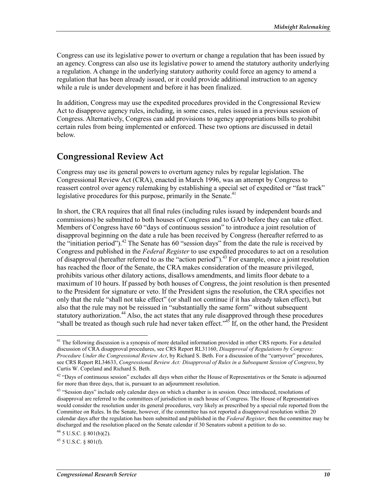Congress can use its legislative power to overturn or change a regulation that has been issued by an agency. Congress can also use its legislative power to amend the statutory authority underlying a regulation. A change in the underlying statutory authority could force an agency to amend a regulation that has been already issued, or it could provide additional instruction to an agency while a rule is under development and before it has been finalized.

In addition, Congress may use the expedited procedures provided in the Congressional Review Act to disapprove agency rules, including, in some cases, rules issued in a previous session of Congress. Alternatively, Congress can add provisions to agency appropriations bills to prohibit certain rules from being implemented or enforced. These two options are discussed in detail below.

### **Congressional Review Act**

Congress may use its general powers to overturn agency rules by regular legislation. The Congressional Review Act (CRA), enacted in March 1996, was an attempt by Congress to reassert control over agency rulemaking by establishing a special set of expedited or "fast track" legislative procedures for this purpose, primarily in the Senate.<sup>41</sup>

In short, the CRA requires that all final rules (including rules issued by independent boards and commissions) be submitted to both houses of Congress and to GAO before they can take effect. Members of Congress have 60 "days of continuous session" to introduce a joint resolution of disapproval beginning on the date a rule has been received by Congress (hereafter referred to as the "initiation period").<sup>42</sup> The Senate has 60 "session days" from the date the rule is received by Congress and published in the *Federal Register* to use expedited procedures to act on a resolution of disapproval (hereafter referred to as the "action period").43 For example, once a joint resolution has reached the floor of the Senate, the CRA makes consideration of the measure privileged, prohibits various other dilatory actions, disallows amendments, and limits floor debate to a maximum of 10 hours. If passed by both houses of Congress, the joint resolution is then presented to the President for signature or veto. If the President signs the resolution, the CRA specifies not only that the rule "shall not take effect" (or shall not continue if it has already taken effect), but also that the rule may not be reissued in "substantially the same form" without subsequent statutory authorization.<sup>44</sup> Also, the act states that any rule disapproved through these procedures "shall be treated as though such rule had never taken effect."<sup>45</sup> If, on the other hand, the President

<sup>&</sup>lt;sup>41</sup> The following discussion is a synopsis of more detailed information provided in other CRS reports. For a detailed discussion of CRA disapproval procedures, see CRS Report RL31160, *Disapproval of Regulations by Congress: Procedure Under the Congressional Review Act*, by Richard S. Beth. For a discussion of the "carryover" procedures, see CRS Report RL34633, *Congressional Review Act: Disapproval of Rules in a Subsequent Session of Congress*, by Curtis W. Copeland and Richard S. Beth.

<sup>&</sup>lt;sup>42</sup> "Days of continuous session" excludes all days when either the House of Representatives or the Senate is adjourned for more than three days, that is, pursuant to an adjournment resolution.

<sup>&</sup>lt;sup>43</sup> "Session days" include only calendar days on which a chamber is in session. Once introduced, resolutions of disapproval are referred to the committees of jurisdiction in each house of Congress. The House of Representatives would consider the resolution under its general procedures, very likely as prescribed by a special rule reported from the Committee on Rules. In the Senate, however, if the committee has not reported a disapproval resolution within 20 calendar days after the regulation has been submitted and published in the *Federal Register*, then the committee may be discharged and the resolution placed on the Senate calendar if 30 Senators submit a petition to do so.

 $44$  5 U.S.C. § 801(b)(2).

 $45$  5 U.S.C.  $8$  801(f).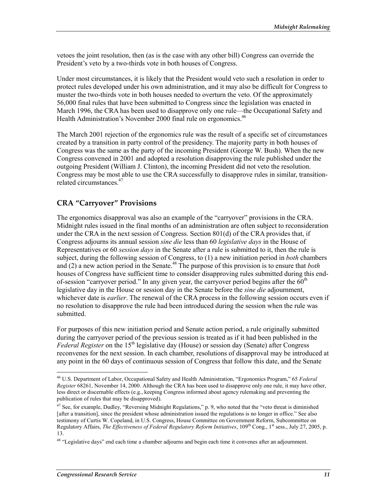vetoes the joint resolution, then (as is the case with any other bill) Congress can override the President's veto by a two-thirds vote in both houses of Congress.

Under most circumstances, it is likely that the President would veto such a resolution in order to protect rules developed under his own administration, and it may also be difficult for Congress to muster the two-thirds vote in both houses needed to overturn the veto. Of the approximately 56,000 final rules that have been submitted to Congress since the legislation was enacted in March 1996, the CRA has been used to disapprove only one rule—the Occupational Safety and Health Administration's November 2000 final rule on ergonomics.<sup>46</sup>

The March 2001 rejection of the ergonomics rule was the result of a specific set of circumstances created by a transition in party control of the presidency. The majority party in both houses of Congress was the same as the party of the incoming President (George W. Bush). When the new Congress convened in 2001 and adopted a resolution disapproving the rule published under the outgoing President (William J. Clinton), the incoming President did not veto the resolution. Congress may be most able to use the CRA successfully to disapprove rules in similar, transitionrelated circumstances<sup>47</sup>

#### **CRA "Carryover" Provisions**

The ergonomics disapproval was also an example of the "carryover" provisions in the CRA. Midnight rules issued in the final months of an administration are often subject to reconsideration under the CRA in the next session of Congress. Section 801(d) of the CRA provides that, if Congress adjourns its annual session *sine die* less than 60 *legislative days* in the House of Representatives or 60 *session days* in the Senate after a rule is submitted to it, then the rule is subject, during the following session of Congress, to (1) a new initiation period in *both* chambers and (2) a new action period in the Senate.48 The purpose of this provision is to ensure that *both* houses of Congress have sufficient time to consider disapproving rules submitted during this endof-session "carryover period." In any given year, the carryover period begins after the  $60<sup>th</sup>$ legislative day in the House or session day in the Senate before the *sine die* adjournment, whichever date is *earlier*. The renewal of the CRA process in the following session occurs even if no resolution to disapprove the rule had been introduced during the session when the rule was submitted.

For purposes of this new initiation period and Senate action period, a rule originally submitted during the carryover period of the previous session is treated as if it had been published in the *Federal Register* on the 15<sup>th</sup> legislative day (House) or session day (Senate) after Congress reconvenes for the next session. In each chamber, resolutions of disapproval may be introduced at any point in the 60 days of continuous session of Congress that follow this date, and the Senate

<sup>46</sup> U.S. Department of Labor, Occupational Safety and Health Administration, "Ergonomics Program," 65 *Federal Register* 68261, November 14, 2000. Although the CRA has been used to disapprove only one rule, it may have other, less direct or discernable effects (e.g., keeping Congress informed about agency rulemaking and preventing the publication of rules that may be disapproved).

<sup>&</sup>lt;sup>47</sup> See, for example, Dudley, "Reversing Midnight Regulations," p. 9, who noted that the "veto threat is diminished [after a transition], since the president whose administration issued the regulations is no longer in office." See also testimony of Curtis W. Copeland, in U.S. Congress, House Committee on Government Reform, Subcommittee on Regulatory Affairs, *The Effectiveness of Federal Regulatory Reform Initiatives*, 109<sup>th</sup> Cong., 1<sup>st</sup> sess., July 27, 2005, p. 13.

<sup>&</sup>lt;sup>48</sup> "Legislative days" end each time a chamber adjourns and begin each time it convenes after an adjournment.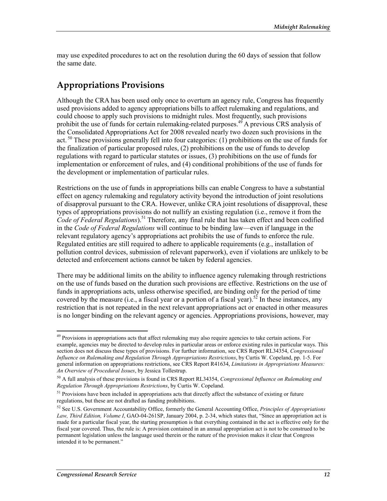may use expedited procedures to act on the resolution during the 60 days of session that follow the same date.

### **Appropriations Provisions**

Although the CRA has been used only once to overturn an agency rule, Congress has frequently used provisions added to agency appropriations bills to affect rulemaking and regulations, and could choose to apply such provisions to midnight rules. Most frequently, such provisions prohibit the use of funds for certain rulemaking-related purposes.<sup>49</sup> A previous CRS analysis of the Consolidated Appropriations Act for 2008 revealed nearly two dozen such provisions in the act.  $50$  These provisions generally fell into four categories: (1) prohibitions on the use of funds for the finalization of particular proposed rules, (2) prohibitions on the use of funds to develop regulations with regard to particular statutes or issues, (3) prohibitions on the use of funds for implementation or enforcement of rules, and (4) conditional prohibitions of the use of funds for the development or implementation of particular rules.

Restrictions on the use of funds in appropriations bills can enable Congress to have a substantial effect on agency rulemaking and regulatory activity beyond the introduction of joint resolutions of disapproval pursuant to the CRA. However, unlike CRA joint resolutions of disapproval, these types of appropriations provisions do not nullify an existing regulation (i.e., remove it from the *Code of Federal Regulations*).51 Therefore, any final rule that has taken effect and been codified in the *Code of Federal Regulations* will continue to be binding law—even if language in the relevant regulatory agency's appropriations act prohibits the use of funds to enforce the rule. Regulated entities are still required to adhere to applicable requirements (e.g., installation of pollution control devices, submission of relevant paperwork), even if violations are unlikely to be detected and enforcement actions cannot be taken by federal agencies.

There may be additional limits on the ability to influence agency rulemaking through restrictions on the use of funds based on the duration such provisions are effective. Restrictions on the use of funds in appropriations acts, unless otherwise specified, are binding only for the period of time covered by the measure (i.e., a fiscal year or a portion of a fiscal year).<sup>52</sup> In these instances, any restriction that is not repeated in the next relevant appropriations act or enacted in other measures is no longer binding on the relevant agency or agencies. Appropriations provisions, however, may

<sup>&</sup>lt;sup>49</sup> Provisions in appropriations acts that affect rulemaking may also require agencies to take certain actions. For example, agencies may be directed to develop rules in particular areas or enforce existing rules in particular ways. This section does not discuss these types of provisions. For further information, see CRS Report RL34354, *Congressional Influence on Rulemaking and Regulation Through Appropriations Restrictions*, by Curtis W. Copeland, pp. 1-5. For general information on appropriations restrictions, see CRS Report R41634, *Limitations in Appropriations Measures: An Overview of Procedural Issues*, by Jessica Tollestrup.

<sup>50</sup> A full analysis of these provisions is found in CRS Report RL34354, *Congressional Influence on Rulemaking and Regulation Through Appropriations Restrictions*, by Curtis W. Copeland.

<sup>&</sup>lt;sup>51</sup> Provisions have been included in appropriations acts that directly affect the substance of existing or future regulations, but these are not drafted as funding prohibitions.

<sup>52</sup> See U.S. Government Accountability Office, formerly the General Accounting Office, *Principles of Appropriations Law, Third Edition, Volume I*, GAO-04-261SP, January 2004, p. 2-34, which states that, "Since an appropriation act is made for a particular fiscal year, the starting presumption is that everything contained in the act is effective only for the fiscal year covered. Thus, the rule is: A provision contained in an annual appropriation act is not to be construed to be permanent legislation unless the language used therein or the nature of the provision makes it clear that Congress intended it to be permanent."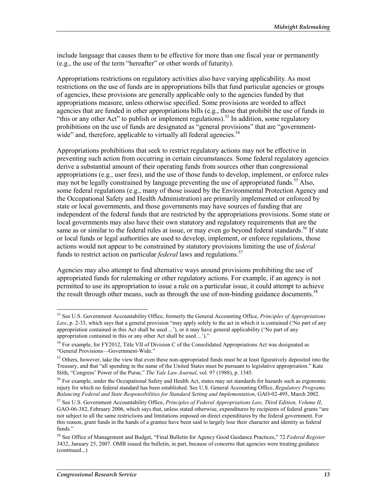include language that causes them to be effective for more than one fiscal year or permanently (e.g., the use of the term "hereafter" or other words of futurity).

Appropriations restrictions on regulatory activities also have varying applicability. As most restrictions on the use of funds are in appropriations bills that fund particular agencies or groups of agencies, these provisions are generally applicable only to the agencies funded by that appropriations measure, unless otherwise specified. Some provisions are worded to affect agencies that are funded in other appropriations bills (e.g., those that prohibit the use of funds in "this or any other Act" to publish or implement regulations).<sup>53</sup> In addition, some regulatory prohibitions on the use of funds are designated as "general provisions" that are "governmentwide" and, therefore, applicable to virtually all federal agencies.<sup>54</sup>

Appropriations prohibitions that seek to restrict regulatory actions may not be effective in preventing such action from occurring in certain circumstances. Some federal regulatory agencies derive a substantial amount of their operating funds from sources other than congressional appropriations (e.g., user fees), and the use of those funds to develop, implement, or enforce rules may not be legally constrained by language preventing the use of appropriated funds.<sup>55</sup> Also, some federal regulations (e.g., many of those issued by the Environmental Protection Agency and the Occupational Safety and Health Administration) are primarily implemented or enforced by state or local governments, and those governments may have sources of funding that are independent of the federal funds that are restricted by the appropriations provisions. Some state or local governments may also have their own statutory and regulatory requirements that are the same as or similar to the federal rules at issue, or may even go beyond federal standards.<sup>56</sup> If state or local funds or legal authorities are used to develop, implement, or enforce regulations, those actions would not appear to be constrained by statutory provisions limiting the use of *federal* funds to restrict action on particular *federal* laws and regulations.<sup>57</sup>

Agencies may also attempt to find alternative ways around provisions prohibiting the use of appropriated funds for rulemaking or other regulatory actions. For example, if an agency is not permitted to use its appropriation to issue a rule on a particular issue, it could attempt to achieve the result through other means, such as through the use of non-binding guidance documents.<sup>58</sup>

<sup>53</sup> See U.S. Government Accountability Office, formerly the General Accounting Office, *Principles of Appropriations Law*, p. 2-33, which says that a general provision "may apply solely to the act in which it is contained ('No part of any appropriation contained in this Act shall be used ...'), or it may have general applicability ('No part of any appropriation contained in this or any other Act shall be used ...')."

<sup>&</sup>lt;sup>54</sup> For example, for FY2012, Title VII of Division C of the Consolidated Appropriations Act was designated as "General Provisions—Government-Wide."

<sup>&</sup>lt;sup>55</sup> Others, however, take the view that even these non-appropriated funds must be at least figuratively deposited into the Treasury, and that "all spending in the name of the United States must be pursuant to legislative appropriation." Kate Stith, "Congress' Power of the Purse," *The Yale Law Journal*, vol. 97 (1988), p. 1345.

<sup>&</sup>lt;sup>56</sup> For example, under the Occupational Safety and Health Act, states may set standards for hazards such as ergonomic injury for which no federal standard has been established. See U.S. General Accounting Office, *Regulatory Programs: Balancing Federal and State Responsibilities for Standard Setting and Implementation*, GAO-02-495, March 2002.

<sup>57</sup> See U.S. Government Accountability Office, *Principles of Federal Appropriations Law, Third Edition, Volume II*, GAO-06-382, February 2006, which says that, unless stated otherwise, expenditures by recipients of federal grants "are not subject to all the same restrictions and limitations imposed on direct expenditures by the federal government. For this reason, grant funds in the hands of a grantee have been said to largely lose their character and identity as federal funds."

<sup>58</sup> See Office of Management and Budget, "Final Bulletin for Agency Good Guidance Practices," 72 *Federal Register* 3432, January 25, 2007. OMB issued the bulletin, in part, because of concerns that agencies were treating guidance (continued...)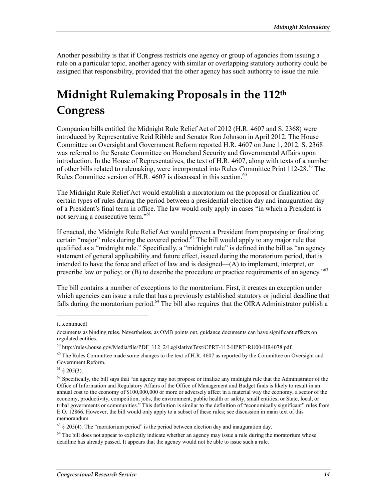Another possibility is that if Congress restricts one agency or group of agencies from issuing a rule on a particular topic, another agency with similar or overlapping statutory authority could be assigned that responsibility, provided that the other agency has such authority to issue the rule.

## **Midnight Rulemaking Proposals in the 112th Congress**

Companion bills entitled the Midnight Rule Relief Act of 2012 (H.R. 4607 and S. 2368) were introduced by Representative Reid Ribble and Senator Ron Johnson in April 2012. The House Committee on Oversight and Government Reform reported H.R. 4607 on June 1, 2012. S. 2368 was referred to the Senate Committee on Homeland Security and Governmental Affairs upon introduction. In the House of Representatives, the text of H.R. 4607, along with texts of a number of other bills related to rulemaking, were incorporated into Rules Committee Print 112-28.<sup>59</sup> The Rules Committee version of H.R.  $4607$  is discussed in this section.<sup>60</sup>

The Midnight Rule Relief Act would establish a moratorium on the proposal or finalization of certain types of rules during the period between a presidential election day and inauguration day of a President's final term in office. The law would only apply in cases "in which a President is not serving a consecutive term."<sup>61</sup>

If enacted, the Midnight Rule Relief Act would prevent a President from proposing or finalizing certain "major" rules during the covered period. $62$  The bill would apply to any major rule that qualified as a "midnight rule." Specifically, a "midnight rule" is defined in the bill as "an agency statement of general applicability and future effect, issued during the moratorium period, that is intended to have the force and effect of law and is designed—(A) to implement, interpret, or prescribe law or policy; or (B) to describe the procedure or practice requirements of an agency."<sup>63</sup>

The bill contains a number of exceptions to the moratorium. First, it creates an exception under which agencies can issue a rule that has a previously established statutory or judicial deadline that falls during the moratorium period.<sup>64</sup> The bill also requires that the OIRA Administrator publish a

 $\overline{a}$ 

<sup>(...</sup>continued)

documents as binding rules. Nevertheless, as OMB points out, guidance documents can have significant effects on regulated entities.

<sup>59</sup> http://rules.house.gov/Media/file/PDF\_112\_2/LegislativeText/CPRT-112-HPRT-RU00-HR4078.pdf.

<sup>&</sup>lt;sup>60</sup> The Rules Committee made some changes to the text of H.R. 4607 as reported by the Committee on Oversight and Government Reform.

 $618205(3)$ .

 $62$  Specifically, the bill says that "an agency may not propose or finalize any midnight rule that the Administrator of the Office of Information and Regulatory Affairs of the Office of Management and Budget finds is likely to result in an annual cost to the economy of \$100,000,000 or more or adversely affect in a material way the economy, a sector of the economy, productivity, competition, jobs, the environment, public health or safety, small entities, or State, local, or tribal governments or communities." This definition is similar to the definition of "economically significant" rules from E.O. 12866. However, the bill would only apply to a subset of these rules; see discussion in main text of this memorandum.

 $63 \text{ }\frac{8}{9}$  205(4). The "moratorium period" is the period between election day and inauguration day.

 $64$  The bill does not appear to explicitly indicate whether an agency may issue a rule during the moratorium whose deadline has already passed. It appears that the agency would not be able to issue such a rule.